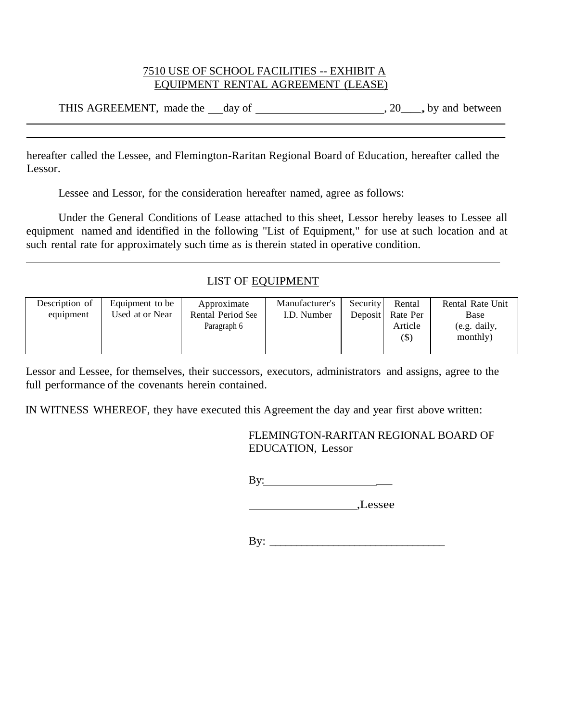## 7510 USE OF SCHOOL FACILITIES -- EXHIBIT A EQUIPMENT RENTAL AGREEMENT (LEASE)

THIS AGREEMENT, made the day of , 20, by and between

hereafter called the Lessee, and Flemington-Raritan Regional Board of Education, hereafter called the Lessor.

Lessee and Lessor, for the consideration hereafter named, agree as follows:

Under the General Conditions of Lease attached to this sheet, Lessor hereby leases to Lessee all equipment named and identified in the following "List of Equipment," for use at such location and at such rental rate for approximately such time as is therein stated in operative condition.

## LIST OF EQUIPMENT

| Description of | Equipment to be | Approximate       | Manufacturer's | Security | Rental   | Rental Rate Unit |
|----------------|-----------------|-------------------|----------------|----------|----------|------------------|
| equipment      | Used at or Near | Rental Period See | I.D. Number    | Deposit  | Rate Per | Base             |
|                |                 | Paragraph 6       |                |          | Article  | (e.g. daily,     |
|                |                 |                   |                |          | $($ \$)  | monthly)         |
|                |                 |                   |                |          |          |                  |

Lessor and Lessee, for themselves, their successors, executors, administrators and assigns, agree to the full performance of the covenants herein contained.

IN WITNESS WHEREOF, they have executed this Agreement the day and year first above written:

FLEMINGTON-RARITAN REGIONAL BOARD OF EDUCATION, Lessor

By: \_

,Lessee

By: \_\_\_\_\_\_\_\_\_\_\_\_\_\_\_\_\_\_\_\_\_\_\_\_\_\_\_\_\_\_\_\_\_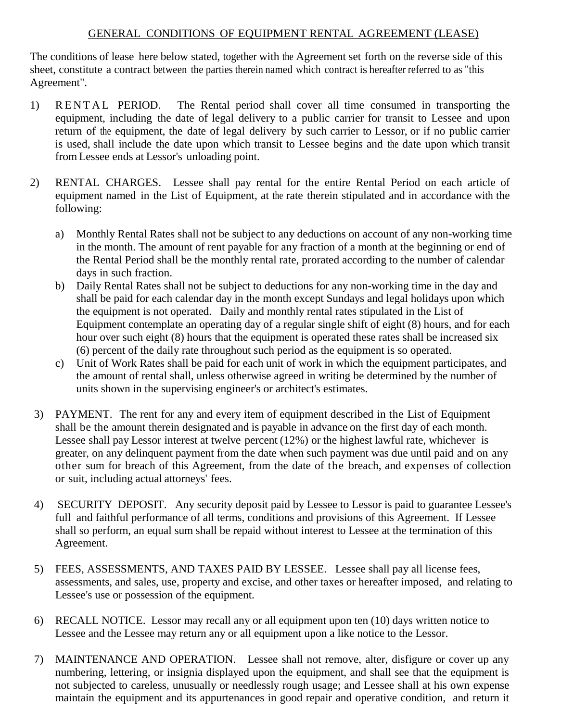## GENERAL CONDITIONS OF EQUIPMENT RENTAL AGREEMENT (LEASE)

The conditions of lease here below stated, together with the Agreement set forth on the reverse side of this sheet, constitute a contract between the parties therein named which contract is hereafter referred to as "this Agreement".

- 1) RENTAL PERIOD. The Rental period shall cover all time consumed in transporting the equipment, including the date of legal delivery to a public carrier for transit to Lessee and upon return of the equipment, the date of legal delivery by such carrier to Lessor, or if no public carrier is used, shall include the date upon which transit to Lessee begins and the date upon which transit from Lessee ends at Lessor's unloading point.
- 2) RENTAL CHARGES. Lessee shall pay rental for the entire Rental Period on each article of equipment named in the List of Equipment, at the rate therein stipulated and in accordance with the following:
	- a) Monthly Rental Rates shall not be subject to any deductions on account of any non-working time in the month. The amount of rent payable for any fraction of a month at the beginning or end of the Rental Period shall be the monthly rental rate, prorated according to the number of calendar days in such fraction.
	- b) Daily Rental Rates shall not be subject to deductions for any non-working time in the day and shall be paid for each calendar day in the month except Sundays and legal holidays upon which the equipment is not operated. Daily and monthly rental rates stipulated in the List of Equipment contemplate an operating day of a regular single shift of eight (8) hours, and for each hour over such eight (8) hours that the equipment is operated these rates shall be increased six (6) percent of the daily rate throughout such period as the equipment is so operated.
	- c) Unit of Work Rates shall be paid for each unit of work in which the equipment participates, and the amount of rental shall, unless otherwise agreed in writing be determined by the number of units shown in the supervising engineer's or architect's estimates.
- 3) PAYMENT. The rent for any and every item of equipment described in the List of Equipment shall be the amount therein designated and is payable in advance on the first day of each month. Lessee shall pay Lessor interest at twelve percent (12%) or the highest lawful rate, whichever is greater, on any delinquent payment from the date when such payment was due until paid and on any other sum for breach of this Agreement, from the date of the breach, and expenses of collection or suit, including actual attorneys' fees.
- 4) SECURITY DEPOSIT. Any security deposit paid by Lessee to Lessor is paid to guarantee Lessee's full and faithful performance of all terms, conditions and provisions of this Agreement. If Lessee shall so perform, an equal sum shall be repaid without interest to Lessee at the termination of this Agreement.
- 5) FEES, ASSESSMENTS, AND TAXES PAID BY LESSEE. Lessee shall pay all license fees, assessments, and sales, use, property and excise, and other taxes or hereafter imposed, and relating to Lessee's use or possession of the equipment.
- 6) RECALL NOTICE. Lessor may recall any or all equipment upon ten (10) days written notice to Lessee and the Lessee may return any or all equipment upon a like notice to the Lessor.
- 7) MAINTENANCE AND OPERATION. Lessee shall not remove, alter, disfigure or cover up any numbering, lettering, or insignia displayed upon the equipment, and shall see that the equipment is not subjected to careless, unusually or needlessly rough usage; and Lessee shall at his own expense maintain the equipment and its appurtenances in good repair and operative condition, and return it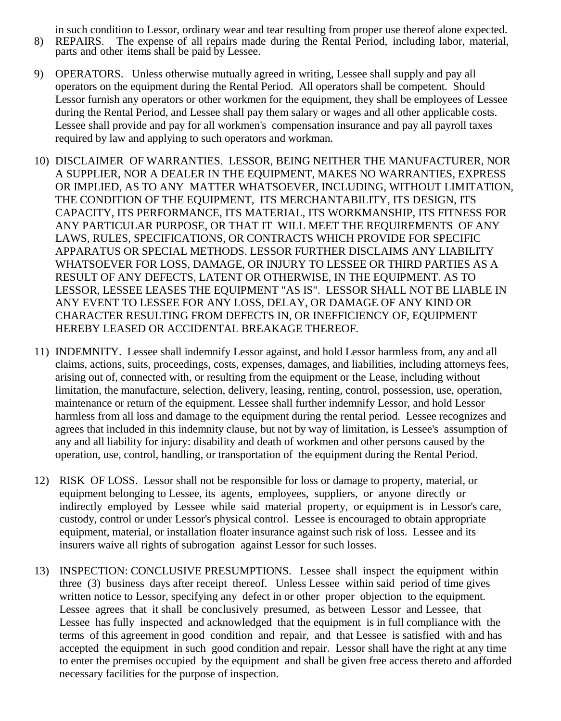in such condition to Lessor, ordinary wear and tear resulting from proper use thereof alone expected.

- 8) REPAIRS. The expense of all repairs made during the Rental Period, including labor, material, parts and other items shall be paid by Lessee.
- 9) OPERATORS. Unless otherwise mutually agreed in writing, Lessee shall supply and pay all operators on the equipment during the Rental Period. All operators shall be competent. Should Lessor furnish any operators or other workmen for the equipment, they shall be employees of Lessee during the Rental Period, and Lessee shall pay them salary or wages and all other applicable costs. Lessee shall provide and pay for all workmen's compensation insurance and pay all payroll taxes required by law and applying to such operators and workman.
- 10) DISCLAIMER OF WARRANTIES. LESSOR, BEING NEITHER THE MANUFACTURER, NOR A SUPPLIER, NOR A DEALER IN THE EQUIPMENT, MAKES NO WARRANTIES, EXPRESS OR IMPLIED, AS TO ANY MATTER WHATSOEVER, INCLUDING, WITHOUT LIMITATION, THE CONDITION OF THE EQUIPMENT, ITS MERCHANTABILITY, ITS DESIGN, ITS CAPACITY, ITS PERFORMANCE, ITS MATERIAL, ITS WORKMANSHIP, ITS FITNESS FOR ANY PARTICULAR PURPOSE, OR THAT IT WILL MEET THE REQUIREMENTS OF ANY LAWS, RULES, SPECIFICATIONS, OR CONTRACTS WHICH PROVIDE FOR SPECIFIC APPARATUS OR SPECIAL METHODS. LESSOR FURTHER DISCLAIMS ANY LIABILITY WHATSOEVER FOR LOSS, DAMAGE, OR INJURY TO LESSEE OR THIRD PARTIES AS A RESULT OF ANY DEFECTS, LATENT OR OTHERWISE, IN THE EQUIPMENT. AS TO LESSOR, LESSEE LEASES THE EQUIPMENT "AS IS". LESSOR SHALL NOT BE LIABLE IN ANY EVENT TO LESSEE FOR ANY LOSS, DELAY, OR DAMAGE OF ANY KIND OR CHARACTER RESULTING FROM DEFECTS IN, OR INEFFICIENCY OF, EQUIPMENT HEREBY LEASED OR ACCIDENTAL BREAKAGE THEREOF.
- 11) INDEMNITY. Lessee shall indemnify Lessor against, and hold Lessor harmless from, any and all claims, actions, suits, proceedings, costs, expenses, damages, and liabilities, including attorneys fees, arising out of, connected with, or resulting from the equipment or the Lease, including without limitation, the manufacture, selection, delivery, leasing, renting, control, possession, use, operation, maintenance or return of the equipment. Lessee shall further indemnify Lessor, and hold Lessor harmless from all loss and damage to the equipment during the rental period. Lessee recognizes and agrees that included in this indemnity clause, but not by way of limitation, is Lessee's assumption of any and all liability for injury: disability and death of workmen and other persons caused by the operation, use, control, handling, or transportation of the equipment during the Rental Period.
- 12) RISK OF LOSS. Lessor shall not be responsible for loss or damage to property, material, or equipment belonging to Lessee, its agents, employees, suppliers, or anyone directly or indirectly employed by Lessee while said material property, or equipment is in Lessor's care, custody, control or under Lessor's physical control. Lessee is encouraged to obtain appropriate equipment, material, or installation floater insurance against such risk of loss. Lessee and its insurers waive all rights of subrogation against Lessor for such losses.
- 13) INSPECTION: CONCLUSIVE PRESUMPTIONS. Lessee shall inspect the equipment within three (3) business days after receipt thereof. Unless Lessee within said period of time gives written notice to Lessor, specifying any defect in or other proper objection to the equipment. Lessee agrees that it shall be conclusively presumed, as between Lessor and Lessee, that Lessee has fully inspected and acknowledged that the equipment is in full compliance with the terms of this agreement in good condition and repair, and that Lessee is satisfied with and has accepted the equipment in such good condition and repair. Lessor shall have the right at any time to enter the premises occupied by the equipment and shall be given free access thereto and afforded necessary facilities for the purpose of inspection.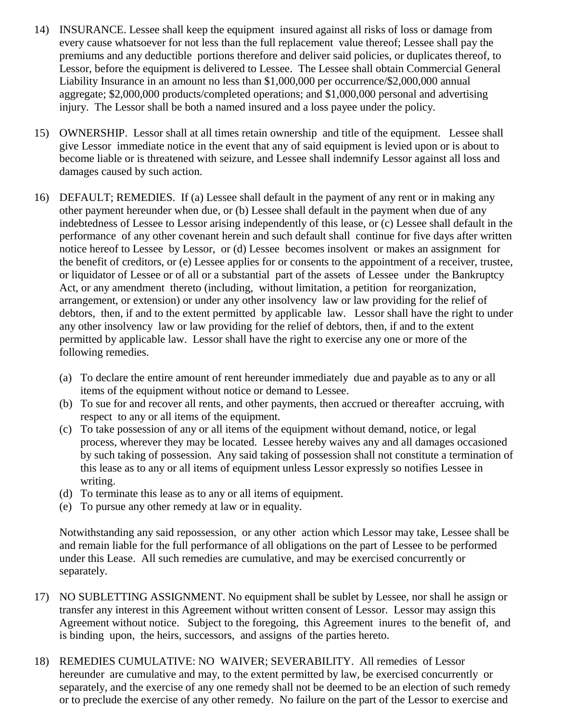- 14) INSURANCE. Lessee shall keep the equipment insured against all risks of loss or damage from every cause whatsoever for not less than the full replacement value thereof; Lessee shall pay the premiums and any deductible portions therefore and deliver said policies, or duplicates thereof, to Lessor, before the equipment is delivered to Lessee. The Lessee shall obtain Commercial General Liability Insurance in an amount no less than \$1,000,000 per occurrence/\$2,000,000 annual aggregate; \$2,000,000 products/completed operations; and \$1,000,000 personal and advertising injury. The Lessor shall be both a named insured and a loss payee under the policy.
- 15) OWNERSHIP. Lessor shall at all times retain ownership and title of the equipment. Lessee shall give Lessor immediate notice in the event that any of said equipment is levied upon or is about to become liable or is threatened with seizure, and Lessee shall indemnify Lessor against all loss and damages caused by such action.
- 16) DEFAULT; REMEDIES. If (a) Lessee shall default in the payment of any rent or in making any other payment hereunder when due, or (b) Lessee shall default in the payment when due of any indebtedness of Lessee to Lessor arising independently of this lease, or (c) Lessee shall default in the performance of any other covenant herein and such default shall continue for five days after written notice hereof to Lessee by Lessor, or (d) Lessee becomes insolvent or makes an assignment for the benefit of creditors, or (e) Lessee applies for or consents to the appointment of a receiver, trustee, or liquidator of Lessee or of all or a substantial part of the assets of Lessee under the Bankruptcy Act, or any amendment thereto (including, without limitation, a petition for reorganization, arrangement, or extension) or under any other insolvency law or law providing for the relief of debtors, then, if and to the extent permitted by applicable law. Lessor shall have the right to under any other insolvency law or law providing for the relief of debtors, then, if and to the extent permitted by applicable law. Lessor shall have the right to exercise any one or more of the following remedies.
	- (a) To declare the entire amount of rent hereunder immediately due and payable as to any or all items of the equipment without notice or demand to Lessee.
	- (b) To sue for and recover all rents, and other payments, then accrued or thereafter accruing, with respect to any or all items of the equipment.
	- (c) To take possession of any or all items of the equipment without demand, notice, or legal process, wherever they may be located. Lessee hereby waives any and all damages occasioned by such taking of possession. Any said taking of possession shall not constitute a termination of this lease as to any or all items of equipment unless Lessor expressly so notifies Lessee in writing.
	- (d) To terminate this lease as to any or all items of equipment.
	- (e) To pursue any other remedy at law or in equality.

Notwithstanding any said repossession, or any other action which Lessor may take, Lessee shall be and remain liable for the full performance of all obligations on the part of Lessee to be performed under this Lease. All such remedies are cumulative, and may be exercised concurrently or separately.

- 17) NO SUBLETTING ASSIGNMENT. No equipment shall be sublet by Lessee, nor shall he assign or transfer any interest in this Agreement without written consent of Lessor. Lessor may assign this Agreement without notice. Subject to the foregoing, this Agreement inures to the benefit of, and is binding upon, the heirs, successors, and assigns of the parties hereto.
- 18) REMEDIES CUMULATIVE: NO WAIVER; SEVERABILITY. All remedies of Lessor hereunder are cumulative and may, to the extent permitted by law, be exercised concurrently or separately, and the exercise of any one remedy shall not be deemed to be an election of such remedy or to preclude the exercise of any other remedy. No failure on the part of the Lessor to exercise and